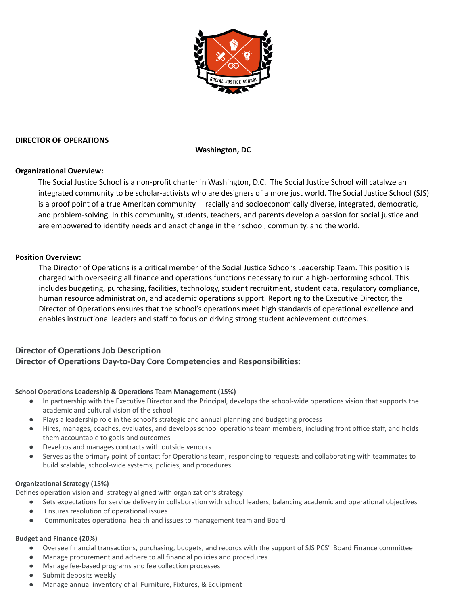

### **DIRECTOR OF OPERATIONS**

**Washington, DC**

## **Organizational Overview:**

The Social Justice School is a non-profit charter in Washington, D.C. The Social Justice School will catalyze an integrated community to be scholar-activists who are designers of a more just world. The Social Justice School (SJS) is a proof point of a true American community— racially and socioeconomically diverse, integrated, democratic, and problem-solving. In this community, students, teachers, and parents develop a passion for social justice and are empowered to identify needs and enact change in their school, community, and the world.

### **Position Overview:**

The Director of Operations is a critical member of the Social Justice School's Leadership Team. This position is charged with overseeing all finance and operations functions necessary to run a high-performing school. This includes budgeting, purchasing, facilities, technology, student recruitment, student data, regulatory compliance, human resource administration, and academic operations support. Reporting to the Executive Director, the Director of Operations ensures that the school's operations meet high standards of operational excellence and enables instructional leaders and staff to focus on driving strong student achievement outcomes.

## **Director of Operations Job Description**

# **Director of Operations Day-to-Day Core Competencies and Responsibilities:**

# **School Operations Leadership & Operations Team Management (15%)**

- In partnership with the Executive Director and the Principal, develops the school-wide operations vision that supports the academic and cultural vision of the school
- Plays a leadership role in the school's strategic and annual planning and budgeting process
- Hires, manages, coaches, evaluates, and develops school operations team members, including front office staff, and holds them accountable to goals and outcomes
- Develops and manages contracts with outside vendors
- Serves as the primary point of contact for Operations team, responding to requests and collaborating with teammates to build scalable, school-wide systems, policies, and procedures

# **Organizational Strategy (15%)**

Defines operation vision and strategy aligned with organization's strategy

- Sets expectations for service delivery in collaboration with school leaders, balancing academic and operational objectives
- Ensures resolution of operational issues
- Communicates operational health and issues to management team and Board

# **Budget and Finance (20%)**

- Oversee financial transactions, purchasing, budgets, and records with the support of SJS PCS' Board Finance committee
- Manage procurement and adhere to all financial policies and procedures
- Manage fee-based programs and fee collection processes
- Submit deposits weekly
- Manage annual inventory of all Furniture, Fixtures, & Equipment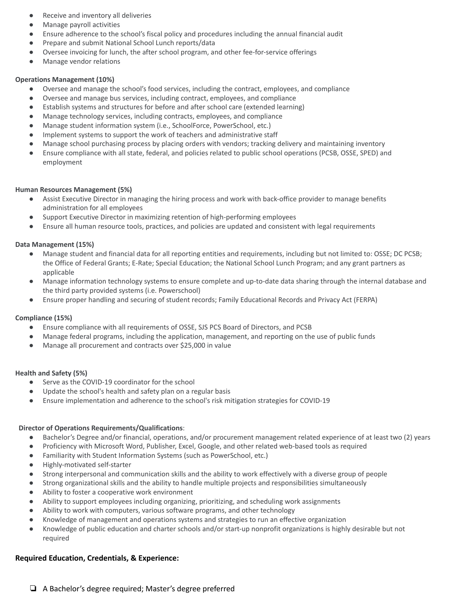- Receive and inventory all deliveries
- Manage payroll activities
- Ensure adherence to the school's fiscal policy and procedures including the annual financial audit
- Prepare and submit National School Lunch reports/data
- Oversee invoicing for lunch, the after school program, and other fee-for-service offerings
- Manage vendor relations

#### **Operations Management (10%)**

- Oversee and manage the school's food services, including the contract, employees, and compliance
- Oversee and manage bus services, including contract, employees, and compliance
- Establish systems and structures for before and after school care (extended learning)
- Manage technology services, including contracts, employees, and compliance
- Manage student information system (i.e., SchoolForce, PowerSchool, etc.)
- Implement systems to support the work of teachers and administrative staff
- Manage school purchasing process by placing orders with vendors; tracking delivery and maintaining inventory
- Ensure compliance with all state, federal, and policies related to public school operations (PCSB, OSSE, SPED) and employment

#### **Human Resources Management (5%)**

- Assist Executive Director in managing the hiring process and work with back-office provider to manage benefits administration for all employees
- Support Executive Director in maximizing retention of high-performing employees
- Ensure all human resource tools, practices, and policies are updated and consistent with legal requirements

#### **Data Management (15%)**

- Manage student and financial data for all reporting entities and requirements, including but not limited to: OSSE; DC PCSB; the Office of Federal Grants; E-Rate; Special Education; the National School Lunch Program; and any grant partners as applicable
- Manage information technology systems to ensure complete and up-to-date data sharing through the internal database and the third party provided systems (i.e. Powerschool)
- Ensure proper handling and securing of student records; Family Educational Records and Privacy Act (FERPA)

#### **Compliance (15%)**

- Ensure compliance with all requirements of OSSE, SJS PCS Board of Directors, and PCSB
- Manage federal programs, including the application, management, and reporting on the use of public funds
- Manage all procurement and contracts over \$25,000 in value

#### **Health and Safety (5%)**

- Serve as the COVID-19 coordinator for the school
- Update the school's health and safety plan on a regular basis
- Ensure implementation and adherence to the school's risk mitigation strategies for COVID-19

#### **Director of Operations Requirements/Qualifications**:

- Bachelor's Degree and/or financial, operations, and/or procurement management related experience of at least two (2) years
- Proficiency with Microsoft Word, Publisher, Excel, Google, and other related web-based tools as required
- Familiarity with Student Information Systems (such as PowerSchool, etc.)
- Highly-motivated self-starter
- Strong interpersonal and communication skills and the ability to work effectively with a diverse group of people
- Strong organizational skills and the ability to handle multiple projects and responsibilities simultaneously
- Ability to foster a cooperative work environment
- Ability to support employees including organizing, prioritizing, and scheduling work assignments
- Ability to work with computers, various software programs, and other technology
- Knowledge of management and operations systems and strategies to run an effective organization
- Knowledge of public education and charter schools and/or start-up nonprofit organizations is highly desirable but not required

#### **Required Education, Credentials, & Experience:**